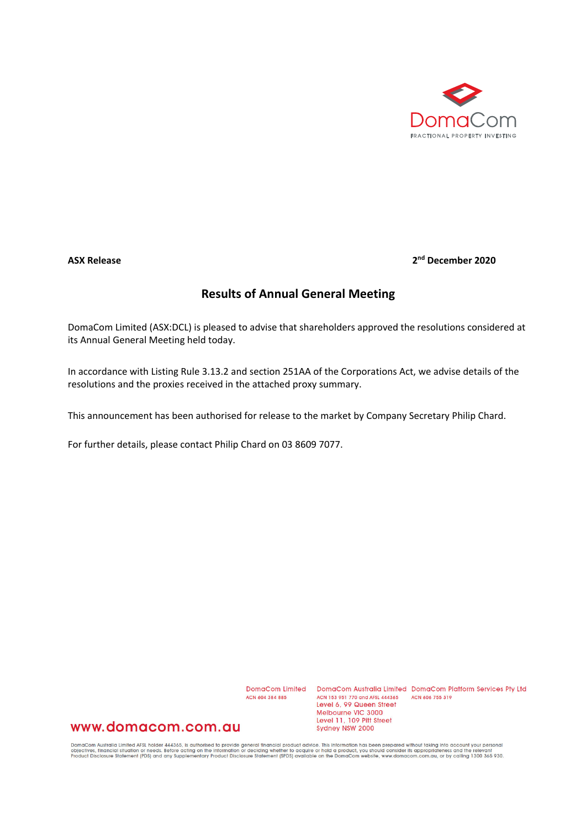

## **ASX Release 2nd December 2020**

## **Results of Annual General Meeting**

DomaCom Limited (ASX:DCL) is pleased to advise that shareholders approved the resolutions considered at its Annual General Meeting held today.

In accordance with Listing Rule 3.13.2 and section 251AA of the Corporations Act, we advise details of the resolutions and the proxies received in the attached proxy summary.

This announcement has been authorised for release to the market by Company Secretary Philip Chard.

For further details, please contact Philip Chard on 03 8609 7077.

ACN 604 384 885

DomaCom Limited DomaCom Australia Limited DomaCom Platform Services Pty Ltd ACN 153 951 770 and AFSL 444365 ACN 606 755 319 Level 6, 99 Queen Street Melbourne VIC 3000 Level 11, 109 Pitt Street Sydney NSW 2000

## www.domacom.com.au

DomaCom Australia Limited AFSL holder 444365, is authorised to provide general financial product advice. This information has been prepared without taking into account your personal<br>objectives, financial situation or needs